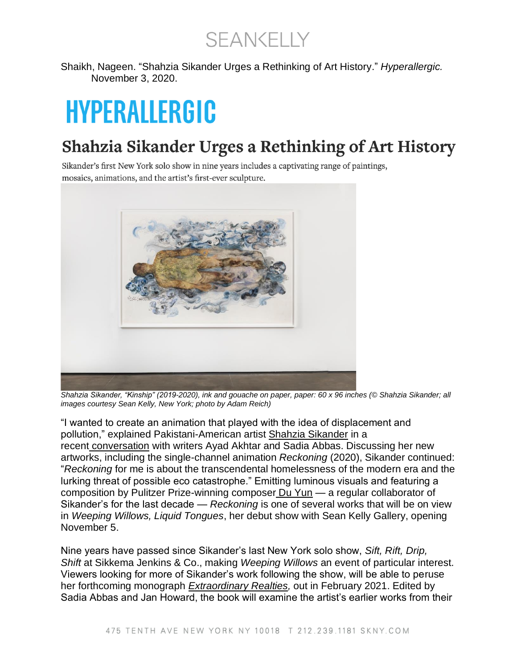**SEANKELLY** 

Shaikh, Nageen. "Shahzia Sikander Urges a Rethinking of Art History." *Hyperallergic.* November 3, 2020.

## HYPERALLERGIC

## Shahzia Sikander Urges a Rethinking of Art History

Sikander's first New York solo show in nine years includes a captivating range of paintings, mosaics, animations, and the artist's first-ever sculpture.



*Shahzia Sikander, "Kinship" (2019-2020), ink and gouache on paper, paper: 60 x 96 inches (© Shahzia Sikander; all images courtesy Sean Kelly, New York; photo by Adam Reich)*

"I wanted to create an animation that played with the idea of displacement and pollution," explained Pakistani-American artist [Shahzia Sikander](https://hyperallergic.com/tag/shahzia-sikander/) in a recent [conversation](https://ideasandfutures.com/2020/10/03/art-literary/in-conversation-shahzia-sikander-ayad-akhtar-and-sadia-abbas/) with writers Ayad Akhtar and Sadia Abbas. Discussing her new artworks, including the single-channel animation *Reckoning* (2020), Sikander continued: "*Reckoning* for me is about the transcendental homelessness of the modern era and the lurking threat of possible eco catastrophe." Emitting luminous visuals and featuring a composition by Pulitzer Prize-winning composer [Du Yun](https://channelduyun.com/) — a regular collaborator of Sikander's for the last decade — *Reckoning* is one of several works that will be on view in *Weeping Willows, Liquid Tongues*, her debut show with Sean Kelly Gallery, opening November 5.

Nine years have passed since Sikander's last New York solo show, *Sift, Rift, Drip, Shift* at Sikkema Jenkins & Co., making *Weeping Willows* an event of particular interest. Viewers looking for more of Sikander's work following the show, will be able to peruse her forthcoming monograph *[Extraordinary Realties,](https://bookshop.org/a/539/9783777435596)* out in February 2021. Edited by Sadia Abbas and Jan Howard, the book will examine the artist's earlier works from their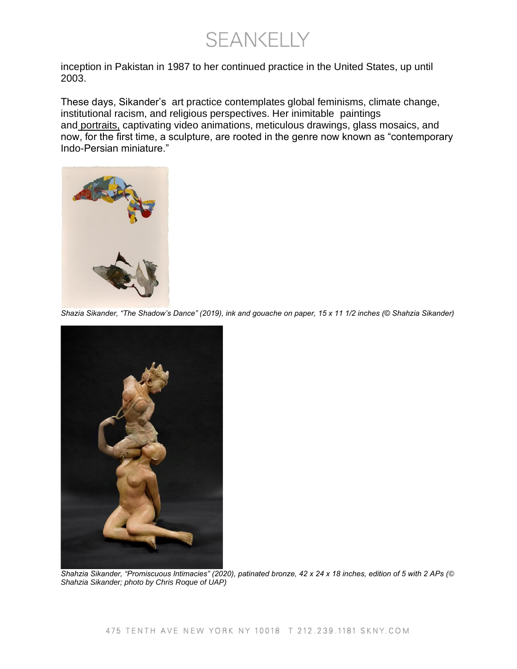**SEANKELLY** 

inception in Pakistan in 1987 to her continued practice in the United States, up until 2003.

These days, Sikander's art practice contemplates global feminisms, climate change, institutional racism, and religious perspectives. Her inimitable paintings and [portraits,](https://hyperallergic.com/473949/shahzia-sikander-national-portrait-gallery-washington-dc/) captivating video animations, meticulous drawings, glass mosaics, and now, for the first time, a sculpture, are rooted in the genre now known as "contemporary Indo-Persian miniature."



*Shazia Sikander, "The Shadow's Dance" (2019), ink and gouache on paper, 15 x 11 1/2 inches (© Shahzia Sikander)*



*Shahzia Sikander, "Promiscuous Intimacies" (2020), patinated bronze, 42 x 24 x 18 inches, edition of 5 with 2 APs (© Shahzia Sikander; photo by Chris Roque of UAP)*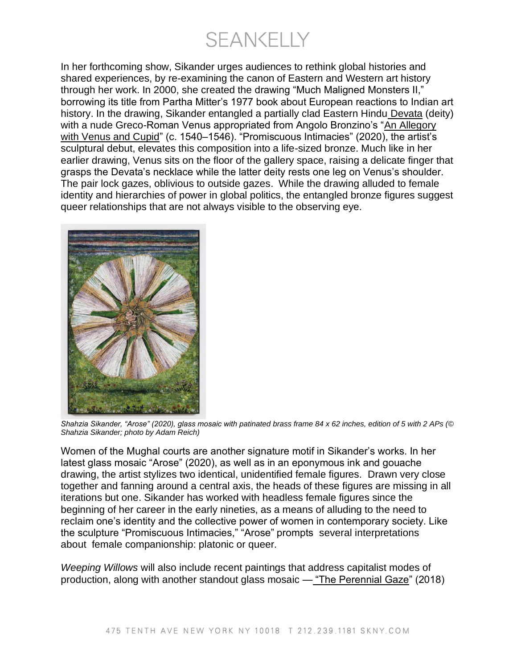**SEANKELLY** 

In her forthcoming show, Sikander urges audiences to rethink global histories and shared experiences, by re-examining the canon of Eastern and Western art history through her work. In 2000, she created the drawing "Much Maligned Monsters II," borrowing its title from Partha Mitter's 1977 book about European reactions to Indian art history. In the drawing, Sikander entangled a partially clad Eastern Hindu [Devata](https://www.metmuseum.org/art/collection/search/38153) (deity) with a nude Greco-Roman Venus appropriated from Angolo Bronzino's "An Allegory [with Venus and Cupid"](https://www.nationalgallery.org.uk/paintings/bronzino-an-allegory-with-venus-and-cupid) (c. 1540–1546). "Promiscuous Intimacies" (2020), the artist's sculptural debut, elevates this composition into a life-sized bronze. Much like in her earlier drawing, Venus sits on the floor of the gallery space, raising a delicate finger that grasps the Devata's necklace while the latter deity rests one leg on Venus's shoulder. The pair lock gazes, oblivious to outside gazes. While the drawing alluded to female identity and hierarchies of power in global politics, the entangled bronze figures suggest queer relationships that are not always visible to the observing eye.



*Shahzia Sikander, "Arose" (2020), glass mosaic with patinated brass frame 84 x 62 inches, edition of 5 with 2 APs (© Shahzia Sikander; photo by Adam Reich)*

Women of the Mughal courts are another signature motif in Sikander's works. In her latest glass mosaic "Arose" (2020), as well as in an eponymous ink and gouache drawing, the artist stylizes two identical, unidentified female figures. Drawn very close together and fanning around a central axis, the heads of these figures are missing in all iterations but one. Sikander has worked with headless female figures since the beginning of her career in the early nineties, as a means of alluding to the need to reclaim one's identity and the collective power of women in contemporary society. Like the sculpture "Promiscuous Intimacies," "Arose" prompts several interpretations about female companionship: platonic or queer.

*Weeping Willows* will also include recent paintings that address capitalist modes of production, along with another standout glass mosaic — ["The Perennial Gaze"](https://www.artsy.net/artwork/shahzia-sikander-the-perennial-gaze) (2018)